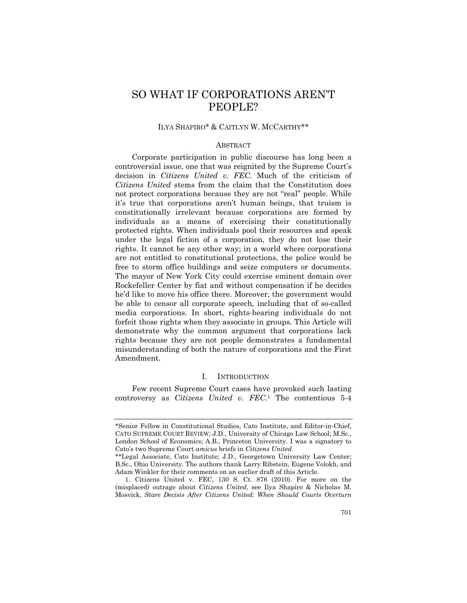# SO WHAT IF CORPORATIONS AREN'T PEOPLE?

# ILYA SHAPIRO\* & CAITLYN W. MCCARTHY\*\*

### ABSTRACT

Corporate participation in public discourse has long been a controversial issue, one that was reignited by the Supreme Court's decision in *Citizens United v. FEC*. Much of the criticism of *Citizens United* stems from the claim that the Constitution does not protect corporations because they are not "real" people. While it's true that corporations aren't human beings, that truism is constitutionally irrelevant because corporations are formed by individuals as a means of exercising their constitutionally protected rights. When individuals pool their resources and speak under the legal fiction of a corporation, they do not lose their rights. It cannot be any other way; in a world where corporations are not entitled to constitutional protections, the police would be free to storm office buildings and seize computers or documents. The mayor of New York City could exercise eminent domain over Rockefeller Center by fiat and without compensation if he decides he'd like to move his office there. Moreover, the government would be able to censor all corporate speech, including that of so-called media corporations. In short, rights-bearing individuals do not forfeit those rights when they associate in groups. This Article will demonstrate why the common argument that corporations lack rights because they are not people demonstrates a fundamental misunderstanding of both the nature of corporations and the First Amendment.

## I. INTRODUCTION

Few recent Supreme Court cases have provoked such lasting controversy as *Citizens United v. FEC.*1 The contentious 5-4

<sup>\*</sup>Senior Fellow in Constitutional Studies, Cato Institute, and Editor-in-Chief, CATO SUPREME COURT REVIEW; J.D., University of Chicago Law School; M.Sc., London School of Economics; A.B., Princeton University. I was a signatory to Cato's two Supreme Court *amicus* briefs in *Citizens United*.

<sup>\*\*</sup>Legal Associate, Cato Institute; J.D., Georgetown University Law Center; B.Sc., Ohio University. The authors thank Larry Ribstein, Eugene Volokh, and Adam Winkler for their comments on an earlier draft of this Article.

 <sup>1.</sup> Citizens United v. FEC, 130 S. Ct. 876 (2010). For more on the (misplaced) outrage about *Citizens United*, see Ilya Shapiro & Nicholas M. Mosvick, *Stare Decisis After Citizens United: When Should Courts Overturn*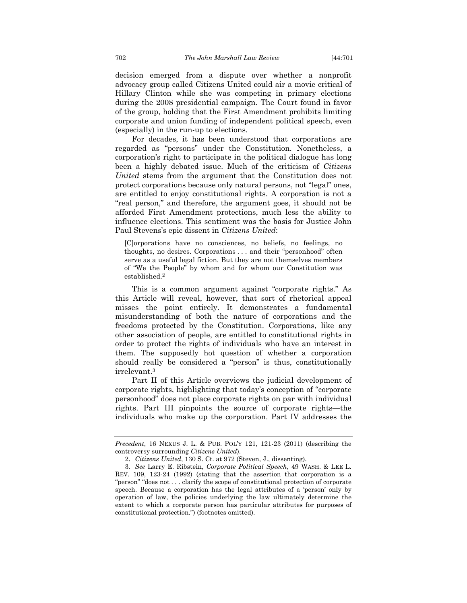decision emerged from a dispute over whether a nonprofit advocacy group called Citizens United could air a movie critical of Hillary Clinton while she was competing in primary elections during the 2008 presidential campaign. The Court found in favor of the group, holding that the First Amendment prohibits limiting corporate and union funding of independent political speech, even (especially) in the run-up to elections.

For decades, it has been understood that corporations are regarded as "persons" under the Constitution. Nonetheless, a corporation's right to participate in the political dialogue has long been a highly debated issue. Much of the criticism of *Citizens United* stems from the argument that the Constitution does not protect corporations because only natural persons, not "legal" ones, are entitled to enjoy constitutional rights. A corporation is not a "real person," and therefore, the argument goes, it should not be afforded First Amendment protections, much less the ability to influence elections. This sentiment was the basis for Justice John Paul Stevens's epic dissent in *Citizens United*:

[C]orporations have no consciences, no beliefs, no feelings, no thoughts, no desires. Corporations . . . and their "personhood" often serve as a useful legal fiction. But they are not themselves members of "We the People" by whom and for whom our Constitution was established.2

This is a common argument against "corporate rights." As this Article will reveal, however, that sort of rhetorical appeal misses the point entirely. It demonstrates a fundamental misunderstanding of both the nature of corporations and the freedoms protected by the Constitution. Corporations, like any other association of people, are entitled to constitutional rights in order to protect the rights of individuals who have an interest in them. The supposedly hot question of whether a corporation should really be considered a "person" is thus, constitutionally irrelevant.3

Part II of this Article overviews the judicial development of corporate rights, highlighting that today's conception of "corporate personhood" does not place corporate rights on par with individual rights. Part III pinpoints the source of corporate rights—the individuals who make up the corporation. Part IV addresses the

*Precedent*, 16 NEXUS J. L. & PUB. POL'Y 121, 121-23 (2011) (describing the controversy surrounding *Citizens United*).

 <sup>2.</sup> *Citizens United*, 130 S. Ct. at 972 (Steven, J., dissenting).

<sup>3</sup>*. See* Larry E. Ribstein, *Corporate Political Speech*, 49 WASH. & LEE L. REV. 109, 123-24 (1992) (stating that the assertion that corporation is a "person" "does not . . . clarify the scope of constitutional protection of corporate speech. Because a corporation has the legal attributes of a 'person' only by operation of law, the policies underlying the law ultimately determine the extent to which a corporate person has particular attributes for purposes of constitutional protection.") (footnotes omitted).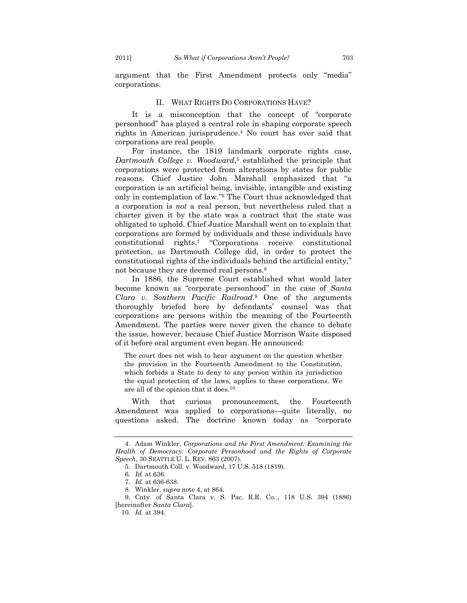argument that the First Amendment protects only "media" corporations.

#### II. WHAT RIGHTS DO CORPORATIONS HAVE?

It is a misconception that the concept of "corporate personhood" has played a central role in shaping corporate speech rights in American jurisprudence.4 No court has ever said that corporations are real people.

For instance, the 1819 landmark corporate rights case, *Dartmouth College v. Woodward*,5 established the principle that corporations were protected from alterations by states for public reasons. Chief Justice John Marshall emphasized that "a corporation is an artificial being, invisible, intangible and existing only in contemplation of law."6 The Court thus acknowledged that a corporation is *not* a real person, but nevertheless ruled that a charter given it by the state was a contract that the state was obligated to uphold. Chief Justice Marshall went on to explain that corporations are formed by individuals and those individuals have constitutional rights.7 "Corporations receive constitutional protection, as Dartmouth College did, in order to protect the constitutional rights of the individuals behind the artificial entity," not because they are deemed real persons.<sup>8</sup>

In 1886, the Supreme Court established what would later become known as "corporate personhood" in the case of *Santa Clara v. Southern Pacific Railroad*.9 One of the arguments thoroughly briefed here by defendants' counsel was that corporations are persons within the meaning of the Fourteenth Amendment. The parties were never given the chance to debate the issue, however, because Chief Justice Morrison Waite disposed of it before oral argument even began. He announced:

The court does not wish to hear argument on the question whether the provision in the Fourteenth Amendment to the Constitution, which forbids a State to deny to any person within its jurisdiction the equal protection of the laws, applies to these corporations. We are all of the opinion that it does.10

With that curious pronouncement, the Fourteenth Amendment was applied to corporations—quite literally, no questions asked. The doctrine known today as "corporate

 <sup>4.</sup> Adam Winkler, *Corporations and the First Amendment: Examining the Health of Democracy: Corporate Personhood and the Rights of Corporate Speech*, 30 SEATTLE U. L. REV. 863 (2007).

 <sup>5.</sup> Dartmouth Coll. v. Woodward, 17 U.S. 518 (1819).

<sup>6</sup>*. Id.* at 636.

<sup>7</sup>*. Id.* at 636-638.

 <sup>8.</sup> Winkler, *supra* note 4, at 864.

 <sup>9.</sup> Cnty. of Santa Clara v. S. Pac. R.R. Co.., 118 U.S. 394 (1886) [hereinafter *Santa Clara*].

<sup>10</sup>*. Id.* at 394.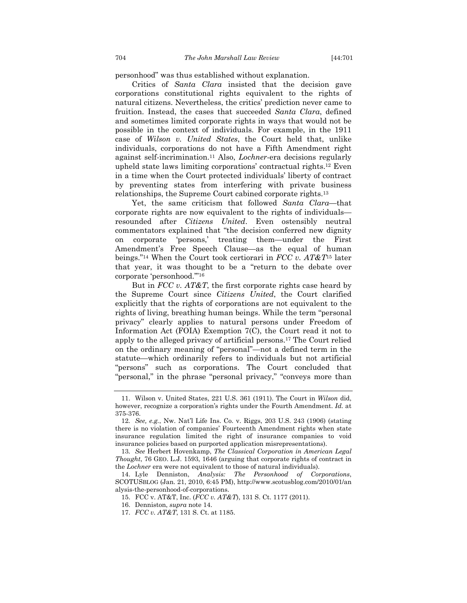personhood" was thus established without explanation.

Critics of *Santa Clara* insisted that the decision gave corporations constitutional rights equivalent to the rights of natural citizens. Nevertheless, the critics' prediction never came to fruition. Instead, the cases that succeeded *Santa Clara*, defined and sometimes limited corporate rights in ways that would not be possible in the context of individuals. For example, in the 1911 case of *Wilson v. United States*, the Court held that, unlike individuals, corporations do not have a Fifth Amendment right against self-incrimination.11 Also, *Lochner*-era decisions regularly upheld state laws limiting corporations' contractual rights.12 Even in a time when the Court protected individuals' liberty of contract by preventing states from interfering with private business relationships, the Supreme Court cabined corporate rights.13

Yet, the same criticism that followed *Santa Clara*—that corporate rights are now equivalent to the rights of individuals resounded after *Citizens United*. Even ostensibly neutral commentators explained that "the decision conferred new dignity on corporate 'persons,' treating them—under the First Amendment's Free Speech Clause—as the equal of human beings."14 When the Court took certiorari in *FCC v. AT&T*15 later that year, it was thought to be a "return to the debate over corporate 'personhood.'"16

But in *FCC v. AT&T*, the first corporate rights case heard by the Supreme Court since *Citizens United*, the Court clarified explicitly that the rights of corporations are not equivalent to the rights of living, breathing human beings. While the term "personal privacy" clearly applies to natural persons under Freedom of Information Act (FOIA) Exemption 7(C), the Court read it not to apply to the alleged privacy of artificial persons.17 The Court relied on the ordinary meaning of "personal"—not a defined term in the statute—which ordinarily refers to individuals but not artificial "persons" such as corporations. The Court concluded that "personal," in the phrase "personal privacy," "conveys more than

 <sup>11.</sup> Wilson v. United States, 221 U.S. 361 (1911). The Court in *Wilson* did, however, recognize a corporation's rights under the Fourth Amendment. *Id.* at 375-376.

<sup>12</sup>*. See, e.g.*, Nw. Nat'l Life Ins. Co. v. Riggs, 203 U.S. 243 (1906) (stating there is no violation of companies' Fourteenth Amendment rights when state insurance regulation limited the right of insurance companies to void insurance policies based on purported application misrepresentations).

<sup>13</sup>*. See* Herbert Hovenkamp, *The Classical Corporation in American Legal Thought*, 76 GEO. L.J. 1593, 1646 (arguing that corporate rights of contract in the *Lochner* era were not equivalent to those of natural individuals).

 <sup>14.</sup> Lyle Denniston, *Analysis: The Personhood of Corporations*, SCOTUSBLOG (Jan. 21, 2010, 6:45 PM), http://www.scotusblog.com/2010/01/an alysis-the-personhood-of-corporations.

 <sup>15.</sup> FCC v. AT&T, Inc. (*FCC v. AT&T*), 131 S. Ct. 1177 (2011).

 <sup>16.</sup> Denniston, *supra* note 14.

 <sup>17.</sup> *FCC v. AT&T*, 131 S. Ct. at 1185.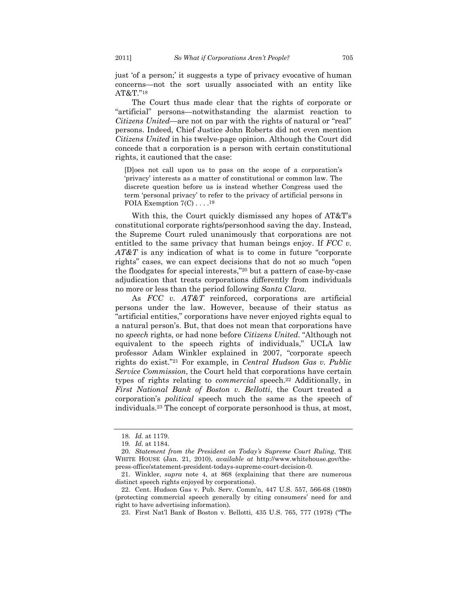just 'of a person;' it suggests a type of privacy evocative of human concerns—not the sort usually associated with an entity like AT&T."18

The Court thus made clear that the rights of corporate or "artificial" persons—notwithstanding the alarmist reaction to *Citizens United—*are not on par with the rights of natural or "real" persons. Indeed, Chief Justice John Roberts did not even mention *Citizens United* in his twelve-page opinion. Although the Court did concede that a corporation is a person with certain constitutional rights, it cautioned that the case:

[D]oes not call upon us to pass on the scope of a corporation's 'privacy' interests as a matter of constitutional or common law. The discrete question before us is instead whether Congress used the term 'personal privacy' to refer to the privacy of artificial persons in FOIA Exemption  $7(C)$ ...<sup>19</sup>

With this, the Court quickly dismissed any hopes of AT&T's constitutional corporate rights/personhood saving the day. Instead, the Supreme Court ruled unanimously that corporations are not entitled to the same privacy that human beings enjoy. If *FCC v. AT&T* is any indication of what is to come in future "corporate rights" cases, we can expect decisions that do not so much "open the floodgates for special interests,"20 but a pattern of case-by-case adjudication that treats corporations differently from individuals no more or less than the period following *Santa Clara*.

As *FCC v. AT&T* reinforced, corporations are artificial persons under the law. However, because of their status as "artificial entities," corporations have never enjoyed rights equal to a natural person's. But, that does not mean that corporations have no *speech* rights, or had none before *Citizens United*. "Although not equivalent to the speech rights of individuals," UCLA law professor Adam Winkler explained in 2007, "corporate speech rights do exist."21 For example, in *Central Hudson Gas v. Public Service Commission*, the Court held that corporations have certain types of rights relating to *commercial* speech.22 Additionally, in *First National Bank of Boston v. Bellotti*, the Court treated a corporation's *political* speech much the same as the speech of individuals.23 The concept of corporate personhood is thus, at most,

<sup>18</sup>*. Id.* at 1179.

<sup>19</sup>*. Id.* at 1184.

<sup>20</sup>*. Statement from the President on Today's Supreme Court Ruling*, THE WHITE HOUSE (Jan. 21, 2010), *available at* http://www.whitehouse.gov/thepress-office/statement-president-todays-supreme-court-decision-0.

 <sup>21.</sup> Winkler, *supra* note 4, at 868 (explaining that there are numerous distinct speech rights enjoyed by corporations).

 <sup>22.</sup> Cent. Hudson Gas v. Pub. Serv. Comm'n, 447 U.S. 557, 566-68 (1980) (protecting commercial speech generally by citing consumers' need for and right to have advertising information).

 <sup>23.</sup> First Nat'l Bank of Boston v. Bellotti, 435 U.S. 765, 777 (1978) ("The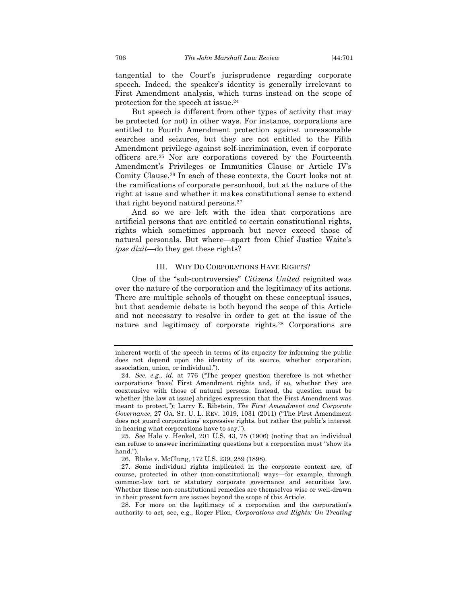tangential to the Court's jurisprudence regarding corporate speech. Indeed, the speaker's identity is generally irrelevant to First Amendment analysis, which turns instead on the scope of protection for the speech at issue.24

But speech is different from other types of activity that may be protected (or not) in other ways. For instance, corporations are entitled to Fourth Amendment protection against unreasonable searches and seizures, but they are not entitled to the Fifth Amendment privilege against self-incrimination, even if corporate officers are.25 Nor are corporations covered by the Fourteenth Amendment's Privileges or Immunities Clause or Article IV's Comity Clause.26 In each of these contexts, the Court looks not at the ramifications of corporate personhood, but at the nature of the right at issue and whether it makes constitutional sense to extend that right beyond natural persons.27

And so we are left with the idea that corporations are artificial persons that are entitled to certain constitutional rights, rights which sometimes approach but never exceed those of natural personals. But where—apart from Chief Justice Waite's *ipse dixit*—do they get these rights?

#### III. WHY DO CORPORATIONS HAVE RIGHTS?

One of the "sub-controversies" *Citizens United* reignited was over the nature of the corporation and the legitimacy of its actions. There are multiple schools of thought on these conceptual issues, but that academic debate is both beyond the scope of this Article and not necessary to resolve in order to get at the issue of the nature and legitimacy of corporate rights.28 Corporations are

inherent worth of the speech in terms of its capacity for informing the public does not depend upon the identity of its source, whether corporation, association, union, or individual.").

<sup>24</sup>*. See, e.g.*, *id.* at 776 ("The proper question therefore is not whether corporations 'have' First Amendment rights and, if so, whether they are coextensive with those of natural persons. Instead, the question must be whether [the law at issue] abridges expression that the First Amendment was meant to protect."); Larry E. Ribstein, *The First Amendment and Corporate Governance*, 27 GA. ST. U. L. REV. 1019, 1031 (2011) ("The First Amendment does not guard corporations' expressive rights, but rather the public's interest in hearing what corporations have to say.").

<sup>25</sup>*. See* Hale v. Henkel, 201 U.S. 43, 75 (1906) (noting that an individual can refuse to answer incriminating questions but a corporation must "show its hand.").

 <sup>26.</sup> Blake v. McClung, 172 U.S. 239, 259 (1898).

 <sup>27.</sup> Some individual rights implicated in the corporate context are, of course, protected in other (non-constitutional) ways—for example, through common-law tort or statutory corporate governance and securities law. Whether these non-constitutional remedies are themselves wise or well-drawn in their present form are issues beyond the scope of this Article.

 <sup>28.</sup> For more on the legitimacy of a corporation and the corporation's authority to act, see, e.g., Roger Pilon, *Corporations and Rights: On Treating*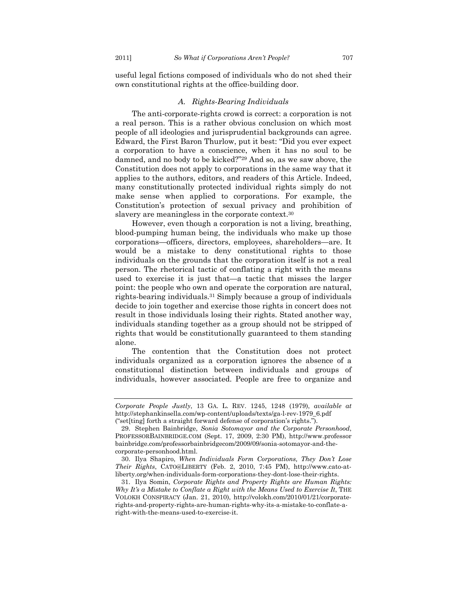useful legal fictions composed of individuals who do not shed their own constitutional rights at the office-building door.

### *A. Rights-Bearing Individuals*

The anti-corporate-rights crowd is correct: a corporation is not a real person. This is a rather obvious conclusion on which most people of all ideologies and jurisprudential backgrounds can agree. Edward, the First Baron Thurlow, put it best: "Did you ever expect a corporation to have a conscience, when it has no soul to be damned, and no body to be kicked?"29 And so, as we saw above, the Constitution does not apply to corporations in the same way that it applies to the authors, editors, and readers of this Article. Indeed, many constitutionally protected individual rights simply do not make sense when applied to corporations. For example, the Constitution's protection of sexual privacy and prohibition of slavery are meaningless in the corporate context.<sup>30</sup>

However, even though a corporation is not a living, breathing, blood-pumping human being, the individuals who make up those corporations—officers, directors, employees, shareholders—are. It would be a mistake to deny constitutional rights to those individuals on the grounds that the corporation itself is not a real person. The rhetorical tactic of conflating a right with the means used to exercise it is just that—a tactic that misses the larger point: the people who own and operate the corporation are natural, rights-bearing individuals.31 Simply because a group of individuals decide to join together and exercise those rights in concert does not result in those individuals losing their rights. Stated another way, individuals standing together as a group should not be stripped of rights that would be constitutionally guaranteed to them standing alone.

The contention that the Constitution does not protect individuals organized as a corporation ignores the absence of a constitutional distinction between individuals and groups of individuals, however associated. People are free to organize and

*Corporate People Justly*, 13 GA. L. REV. 1245, 1248 (1979), *available at* http://stephankinsella.com/wp-content/uploads/texts/ga-l-rev-1979\_6.pdf ("set[ting] forth a straight forward defense of corporation's rights.").

 <sup>29.</sup> Stephen Bainbridge, *Sonia Sotomayor and the Corporate Personhood*, PROFESSORBAINBRIDGE.COM (Sept. 17, 2009, 2:30 PM), http://www.professor bainbridge.com/professorbainbridgecom/2009/09/sonia-sotomayor-and-thecorporate-personhood.html.

 <sup>30.</sup> Ilya Shapiro, *When Individuals Form Corporations, They Don't Lose Their Rights*, CATO@LIBERTY (Feb. 2, 2010, 7:45 PM), http://www.cato-atliberty.org/when-individuals-form-corporations-they-dont-lose-their-rights.

 <sup>31.</sup> Ilya Somin, *Corporate Rights and Property Rights are Human Rights: Why It's a Mistake to Conflate a Right with the Means Used to Exercise It*, THE VOLOKH CONSPIRACY (Jan. 21, 2010), http://volokh.com/2010/01/21/corporaterights-and-property-rights-are-human-rights-why-its-a-mistake-to-conflate-aright-with-the-means-used-to-exercise-it.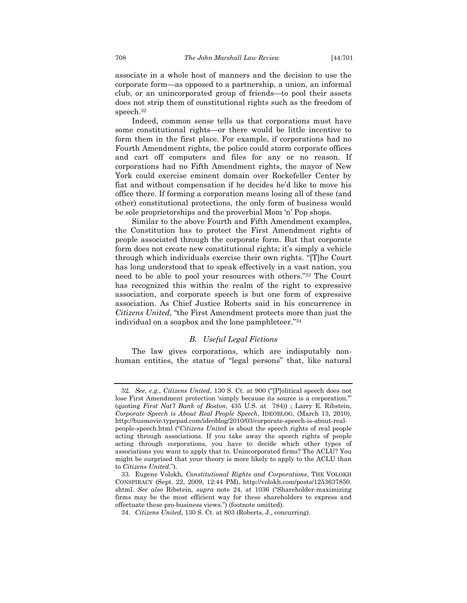associate in a whole host of manners and the decision to use the corporate form—as opposed to a partnership, a union, an informal club, or an unincorporated group of friends—to pool their assets does not strip them of constitutional rights such as the freedom of speech.32

Indeed, common sense tells us that corporations must have some constitutional rights—or there would be little incentive to form them in the first place. For example, if corporations had no Fourth Amendment rights, the police could storm corporate offices and cart off computers and files for any or no reason. If corporations had no Fifth Amendment rights, the mayor of New York could exercise eminent domain over Rockefeller Center by fiat and without compensation if he decides he'd like to move his office there. If forming a corporation means losing all of these (and other) constitutional protections, the only form of business would be sole proprietorships and the proverbial Mom 'n' Pop shops.

Similar to the above Fourth and Fifth Amendment examples, the Constitution has to protect the First Amendment rights of people associated through the corporate form. But that corporate form does not create new constitutional rights; it's simply a vehicle through which individuals exercise their own rights. "[T]he Court has long understood that to speak effectively in a vast nation, you need to be able to pool your resources with others."33 The Court has recognized this within the realm of the right to expressive association, and corporate speech is but one form of expressive association. As Chief Justice Roberts said in his concurrence in *Citizens United*, "the First Amendment protects more than just the individual on a soapbox and the lone pamphleteer."34

# *B. Useful Legal Fictions*

The law gives corporations, which are indisputably nonhuman entities, the status of "legal persons" that, like natural

<sup>32</sup>*. See, e.g.*, *Citizens United,* 130 S. Ct. at 900 ("[P]olitical speech does not lose First Amendment protection 'simply because its source is a corporation.'" (quoting *First Nat'l Bank of Boston*, 435 U.S. at 784)) ; Larry E. Ribstein, *Corporate Speech is About Real People Speech*, IDEOBLOG, (March 13, 2010), http://busmovie.typepad.com/ideoblog/2010/03/corporate-speech-is-about-realpeople-speech.html ("*Citizens United* is about the speech rights of real people acting through associations. If you take away the speech rights of people acting through corporations, you have to decide which other types of associations you want to apply that to. Unincorporated firms? The ACLU? You might be surprised that your theory is more likely to apply to the ACLU than to *Citizens United*.").

 <sup>33.</sup> Eugene Volokh, *Constitutional Rights and Corporations*, THE VOLOKH CONSPIRACY (Sept. 22, 2009, 12:44 PM), http://volokh.com/posts/1253637850. shtml. *See also* Ribstein, *supra* note 24, at 1036 ("Shareholder-maximizing firms may be the most efficient way for these shareholders to express and effectuate these pro-business views.") (footnote omitted).

 <sup>34.</sup> *Citizens United*, 130 S. Ct. at 803 (Roberts, J., concurring).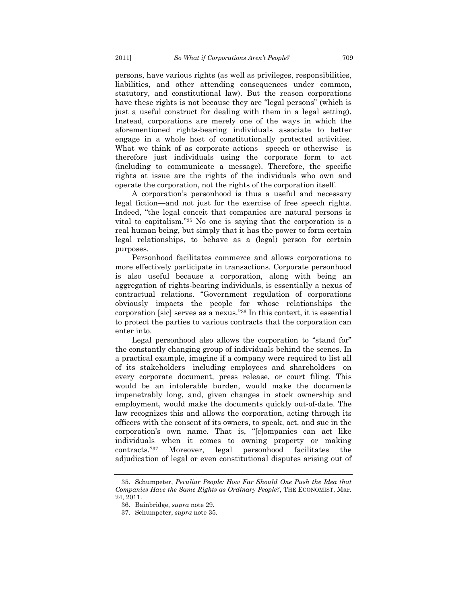persons, have various rights (as well as privileges, responsibilities, liabilities, and other attending consequences under common, statutory, and constitutional law). But the reason corporations have these rights is not because they are "legal persons" (which is just a useful construct for dealing with them in a legal setting). Instead, corporations are merely one of the ways in which the aforementioned rights-bearing individuals associate to better engage in a whole host of constitutionally protected activities. What we think of as corporate actions—speech or otherwise—is therefore just individuals using the corporate form to act (including to communicate a message). Therefore, the specific rights at issue are the rights of the individuals who own and operate the corporation, not the rights of the corporation itself.

A corporation's personhood is thus a useful and necessary legal fiction—and not just for the exercise of free speech rights. Indeed, "the legal conceit that companies are natural persons is vital to capitalism."35 No one is saying that the corporation is a real human being, but simply that it has the power to form certain legal relationships, to behave as a (legal) person for certain purposes.

Personhood facilitates commerce and allows corporations to more effectively participate in transactions. Corporate personhood is also useful because a corporation, along with being an aggregation of rights-bearing individuals, is essentially a nexus of contractual relations. "Government regulation of corporations obviously impacts the people for whose relationships the corporation [sic] serves as a nexus."36 In this context, it is essential to protect the parties to various contracts that the corporation can enter into.

Legal personhood also allows the corporation to "stand for" the constantly changing group of individuals behind the scenes. In a practical example, imagine if a company were required to list all of its stakeholders—including employees and shareholders—on every corporate document, press release, or court filing. This would be an intolerable burden, would make the documents impenetrably long, and, given changes in stock ownership and employment, would make the documents quickly out-of-date. The law recognizes this and allows the corporation, acting through its officers with the consent of its owners, to speak, act, and sue in the corporation's own name. That is, "[c]ompanies can act like individuals when it comes to owning property or making contracts."37 Moreover, legal personhood facilitates the adjudication of legal or even constitutional disputes arising out of

 <sup>35.</sup> Schumpeter, *Peculiar People: How Far Should One Push the Idea that Companies Have the Same Rights as Ordinary People?*, THE ECONOMIST, Mar. 24, 2011.

 <sup>36.</sup> Bainbridge, *supra* note 29.

 <sup>37.</sup> Schumpeter, *supra* note 35.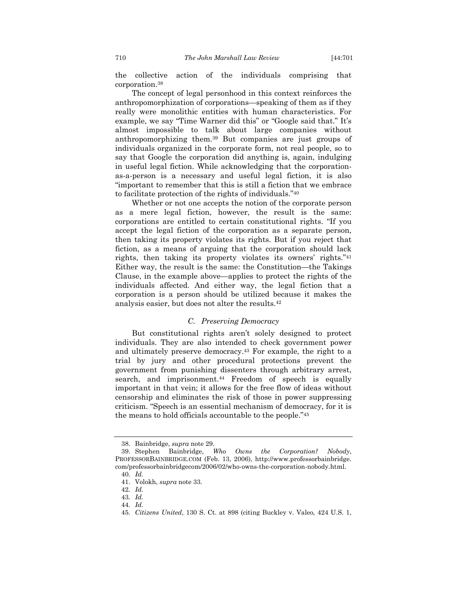the collective action of the individuals comprising that corporation.38

The concept of legal personhood in this context reinforces the anthropomorphization of corporations—speaking of them as if they really were monolithic entities with human characteristics. For example, we say "Time Warner did this" or "Google said that." It's almost impossible to talk about large companies without anthropomorphizing them.39 But companies are just groups of individuals organized in the corporate form, not real people, so to say that Google the corporation did anything is, again, indulging in useful legal fiction. While acknowledging that the corporationas-a-person is a necessary and useful legal fiction, it is also "important to remember that this is still a fiction that we embrace to facilitate protection of the rights of individuals."40

Whether or not one accepts the notion of the corporate person as a mere legal fiction, however, the result is the same: corporations are entitled to certain constitutional rights. "If you accept the legal fiction of the corporation as a separate person, then taking its property violates its rights. But if you reject that fiction, as a means of arguing that the corporation should lack rights, then taking its property violates its owners' rights."41 Either way, the result is the same: the Constitution—the Takings Clause, in the example above—applies to protect the rights of the individuals affected. And either way, the legal fiction that a corporation is a person should be utilized because it makes the analysis easier, but does not alter the results.42

#### *C. Preserving Democracy*

But constitutional rights aren't solely designed to protect individuals. They are also intended to check government power and ultimately preserve democracy.43 For example, the right to a trial by jury and other procedural protections prevent the government from punishing dissenters through arbitrary arrest, search, and imprisonment.<sup>44</sup> Freedom of speech is equally important in that vein; it allows for the free flow of ideas without censorship and eliminates the risk of those in power suppressing criticism. "Speech is an essential mechanism of democracy, for it is the means to hold officials accountable to the people."45

44*. Id.*

 <sup>38.</sup> Bainbridge, *supra* note 29.

 <sup>39.</sup> Stephen Bainbridge, *Who Owns the Corporation? Nobody*, PROFESSORBAINBRIDGE.COM (Feb. 13, 2006), http://www.professorbainbridge. com/professorbainbridgecom/2006/02/who-owns-the-corporation-nobody.html.

<sup>40</sup>*. Id.*

 <sup>41.</sup> Volokh, *supra* note 33.

<sup>42</sup>*. Id.*

<sup>43</sup>*. Id.*

 <sup>45.</sup> *Citizens United*, 130 S. Ct. at 898 (citing Buckley v. Valeo*,* 424 U.S. 1,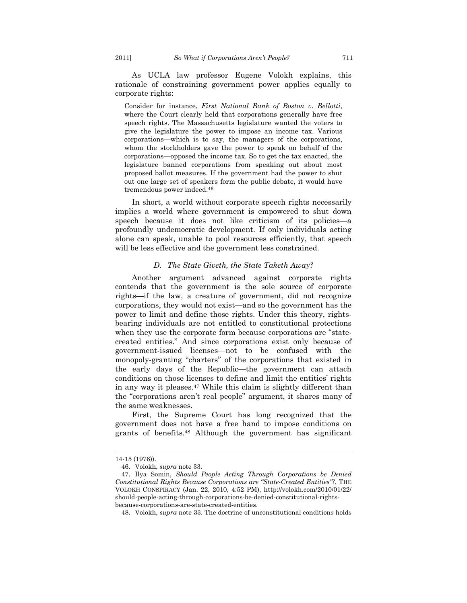As UCLA law professor Eugene Volokh explains, this rationale of constraining government power applies equally to corporate rights:

Consider for instance, *First National Bank of Boston v. Bellotti*, where the Court clearly held that corporations generally have free speech rights. The Massachusetts legislature wanted the voters to give the legislature the power to impose an income tax. Various corporations—which is to say, the managers of the corporations, whom the stockholders gave the power to speak on behalf of the corporations—opposed the income tax. So to get the tax enacted, the legislature banned corporations from speaking out about most proposed ballot measures. If the government had the power to shut out one large set of speakers form the public debate, it would have tremendous power indeed.46

In short, a world without corporate speech rights necessarily implies a world where government is empowered to shut down speech because it does not like criticism of its policies—a profoundly undemocratic development. If only individuals acting alone can speak, unable to pool resources efficiently, that speech will be less effective and the government less constrained.

### *D. The State Giveth, the State Taketh Away?*

Another argument advanced against corporate rights contends that the government is the sole source of corporate rights—if the law, a creature of government, did not recognize corporations, they would not exist—and so the government has the power to limit and define those rights. Under this theory, rightsbearing individuals are not entitled to constitutional protections when they use the corporate form because corporations are "statecreated entities." And since corporations exist only because of government-issued licenses—not to be confused with the monopoly-granting "charters" of the corporations that existed in the early days of the Republic—the government can attach conditions on those licenses to define and limit the entities' rights in any way it pleases.47 While this claim is slightly different than the "corporations aren't real people" argument, it shares many of the same weaknesses.

First, the Supreme Court has long recognized that the government does not have a free hand to impose conditions on grants of benefits.48 Although the government has significant

<sup>14-15 (1976)).</sup> 

 <sup>46.</sup> Volokh, *supra* note 33.

 <sup>47.</sup> Ilya Somin, *Should People Acting Through Corporations be Denied Constitutional Rights Because Corporations are "State-Created Entities"?*, THE VOLOKH CONSPIRACY (Jan. 22, 2010, 4:52 PM), http://volokh.com/2010/01/22/ should-people-acting-through-corporations-be-denied-constitutional-rightsbecause-corporations-are-state-created-entities.

 <sup>48.</sup> Volokh, *supra* note 33. The doctrine of unconstitutional conditions holds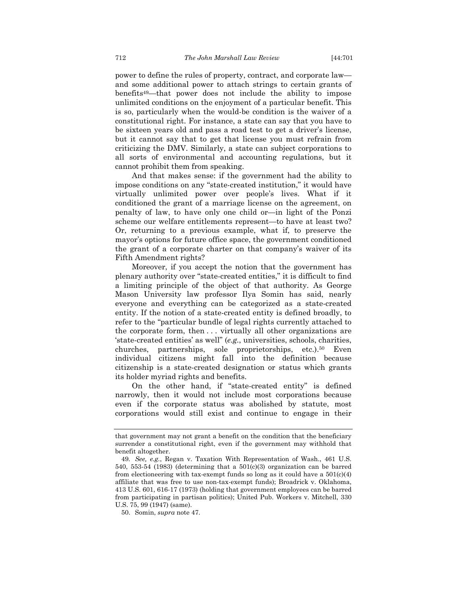power to define the rules of property, contract, and corporate law and some additional power to attach strings to certain grants of benefits49—that power does not include the ability to impose unlimited conditions on the enjoyment of a particular benefit. This is so, particularly when the would-be condition is the waiver of a constitutional right. For instance, a state can say that you have to be sixteen years old and pass a road test to get a driver's license, but it cannot say that to get that license you must refrain from criticizing the DMV. Similarly, a state can subject corporations to all sorts of environmental and accounting regulations, but it cannot prohibit them from speaking.

And that makes sense: if the government had the ability to impose conditions on any "state-created institution," it would have virtually unlimited power over people's lives. What if it conditioned the grant of a marriage license on the agreement, on penalty of law, to have only one child or—in light of the Ponzi scheme our welfare entitlements represent—to have at least two? Or, returning to a previous example, what if, to preserve the mayor's options for future office space, the government conditioned the grant of a corporate charter on that company's waiver of its Fifth Amendment rights?

Moreover, if you accept the notion that the government has plenary authority over "state-created entities," it is difficult to find a limiting principle of the object of that authority. As George Mason University law professor Ilya Somin has said, nearly everyone and everything can be categorized as a state-created entity. If the notion of a state-created entity is defined broadly, to refer to the "particular bundle of legal rights currently attached to the corporate form, then . . . virtually all other organizations are 'state-created entities' as well" (*e.g.*, universities, schools, charities, churches, partnerships, sole proprietorships, etc.).50 Even individual citizens might fall into the definition because citizenship is a state-created designation or status which grants its holder myriad rights and benefits.

On the other hand, if "state-created entity" is defined narrowly, then it would not include most corporations because even if the corporate status was abolished by statute, most corporations would still exist and continue to engage in their

that government may not grant a benefit on the condition that the beneficiary surrender a constitutional right, even if the government may withhold that benefit altogether.

<sup>49</sup>*. See, e.g.*, Regan v. Taxation With Representation of Wash., 461 U.S. 540, 553-54 (1983) (determining that a  $501(c)(3)$  organization can be barred from electioneering with tax-exempt funds so long as it could have a  $501(c)(4)$ affiliate that was free to use non-tax-exempt funds); Broadrick v. Oklahoma, 413 U.S. 601, 616-17 (1973) (holding that government employees can be barred from participating in partisan politics); United Pub. Workers v. Mitchell, 330 U.S. 75, 99 (1947) (same).

 <sup>50.</sup> Somin, *supra* note 47.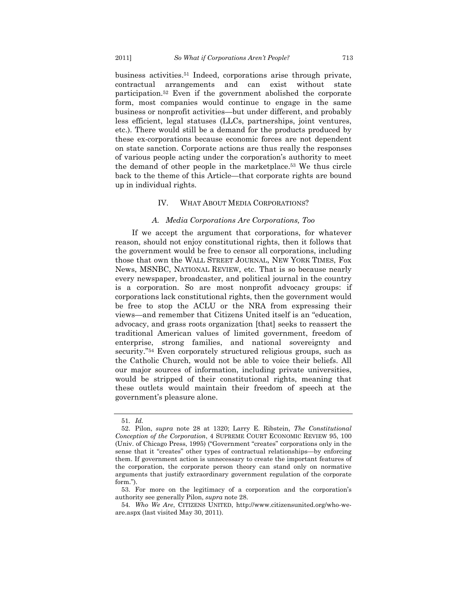business activities.51 Indeed, corporations arise through private, contractual arrangements and can exist without state participation.52 Even if the government abolished the corporate form, most companies would continue to engage in the same business or nonprofit activities—but under different, and probably less efficient, legal statuses (LLCs, partnerships, joint ventures, etc.). There would still be a demand for the products produced by these ex-corporations because economic forces are not dependent on state sanction. Corporate actions are thus really the responses of various people acting under the corporation's authority to meet the demand of other people in the marketplace.53 We thus circle back to the theme of this Article—that corporate rights are bound up in individual rights*.* 

### IV. WHAT ABOUT MEDIA CORPORATIONS?

### *A. Media Corporations Are Corporations, Too*

If we accept the argument that corporations, for whatever reason, should not enjoy constitutional rights, then it follows that the government would be free to censor all corporations, including those that own the WALL STREET JOURNAL, NEW YORK TIMES, Fox News, MSNBC, NATIONAL REVIEW, etc. That is so because nearly every newspaper, broadcaster, and political journal in the country is a corporation. So are most nonprofit advocacy groups: if corporations lack constitutional rights, then the government would be free to stop the ACLU or the NRA from expressing their views—and remember that Citizens United itself is an "education, advocacy, and grass roots organization [that] seeks to reassert the traditional American values of limited government, freedom of enterprise, strong families, and national sovereignty and security."54 Even corporately structured religious groups, such as the Catholic Church, would not be able to voice their beliefs. All our major sources of information, including private universities, would be stripped of their constitutional rights, meaning that these outlets would maintain their freedom of speech at the government's pleasure alone.

<sup>51</sup>*. Id.*

 <sup>52.</sup> Pilon, *supra* note 28 at 1320; Larry E. Ribstein, *The Constitutional Conception of the Corporation*, 4 SUPREME COURT ECONOMIC REVIEW 95, 100 (Univ. of Chicago Press, 1995) ("Government "creates" corporations only in the sense that it "creates" other types of contractual relationships—by enforcing them. If government action is unnecessary to create the important features of the corporation, the corporate person theory can stand only on normative arguments that justify extraordinary government regulation of the corporate form.").

 <sup>53.</sup> For more on the legitimacy of a corporation and the corporation's authority see generally Pilon, *supra* note 28.

<sup>54</sup>*. Who We Are*, CITIZENS UNITED, http://www.citizensunited.org/who-weare.aspx (last visited May 30, 2011).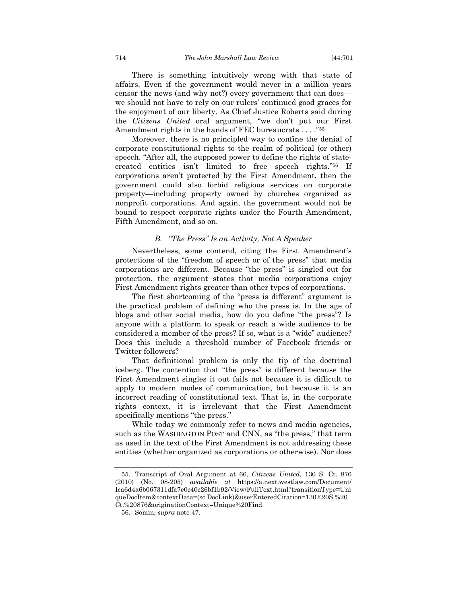There is something intuitively wrong with that state of affairs. Even if the government would never in a million years censor the news (and why not?) every government that can does we should not have to rely on our rulers' continued good graces for the enjoyment of our liberty. As Chief Justice Roberts said during the *Citizens United* oral argument, "we don't put our First Amendment rights in the hands of FEC bureaucrats . . . . "55

Moreover, there is no principled way to confine the denial of corporate constitutional rights to the realm of political (or other) speech. "After all, the supposed power to define the rights of statecreated entities isn't limited to free speech rights."56 If corporations aren't protected by the First Amendment, then the government could also forbid religious services on corporate property—including property owned by churches organized as nonprofit corporations. And again, the government would not be bound to respect corporate rights under the Fourth Amendment, Fifth Amendment, and so on.

# *B. "The Press" Is an Activity, Not A Speaker*

Nevertheless, some contend, citing the First Amendment's protections of the "freedom of speech or of the press" that media corporations are different. Because "the press" is singled out for protection, the argument states that media corporations enjoy First Amendment rights greater than other types of corporations.

The first shortcoming of the "press is different" argument is the practical problem of defining who the press is. In the age of blogs and other social media, how do you define "the press"? Is anyone with a platform to speak or reach a wide audience to be considered a member of the press? If so, what is a "wide" audience? Does this include a threshold number of Facebook friends or Twitter followers?

That definitional problem is only the tip of the doctrinal iceberg. The contention that "the press" is different because the First Amendment singles it out fails not because it is difficult to apply to modern modes of communication, but because it is an incorrect reading of constitutional text. That is, in the corporate rights context, it is irrelevant that the First Amendment specifically mentions "the press."

While today we commonly refer to news and media agencies, such as the WASHINGTON POST and CNN, as "the press," that term as used in the text of the First Amendment is not addressing these entities (whether organized as corporations or otherwise). Nor does

 <sup>55.</sup> Transcript of Oral Argument at 66, *Citizens United*, 130 S. Ct. 876 (2010) (No. 08-205) *available at* https://a.next.westlaw.com/Document/ Ica6d4a6b067311dfa7e0c40c26bf1b92/View/FullText.html?transitionType=Uni queDocItem&contextData=(sc.DocLink)&userEnteredCitation=130%20S.%20 Ct.%20876&originationContext=Unique%20Find.

 <sup>56.</sup> Somin, *supra* note 47.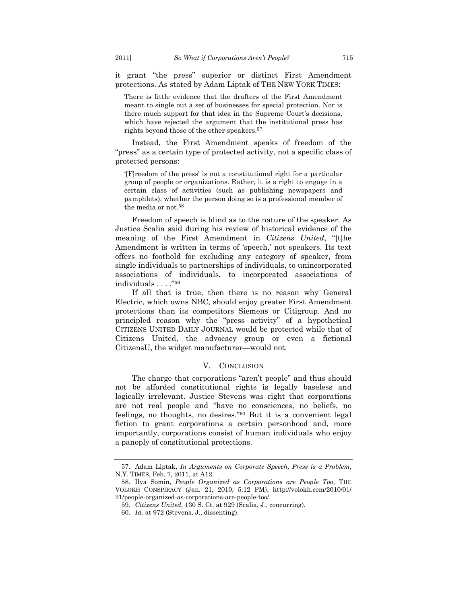it grant "the press" superior or distinct First Amendment protections. As stated by Adam Liptak of THE NEW YORK TIMES:

There is little evidence that the drafters of the First Amendment meant to single out a set of businesses for special protection. Nor is there much support for that idea in the Supreme Court's decisions, which have rejected the argument that the institutional press has rights beyond those of the other speakers.57

Instead, the First Amendment speaks of freedom of the "press" as a certain type of protected activity, not a specific class of protected persons:

'[F]reedom of the press' is not a constitutional right for a particular group of people or organizations. Rather, it is a right to engage in a certain class of activities (such as publishing newspapers and pamphlets), whether the person doing so is a professional member of the media or not.58

Freedom of speech is blind as to the nature of the speaker. As Justice Scalia said during his review of historical evidence of the meaning of the First Amendment in *Citizens United*, "[t]he Amendment is written in terms of 'speech,' not speakers. Its text offers no foothold for excluding any category of speaker, from single individuals to partnerships of individuals, to unincorporated associations of individuals, to incorporated associations of individuals . . . ."59

If all that is true, then there is no reason why General Electric, which owns NBC, should enjoy greater First Amendment protections than its competitors Siemens or Citigroup. And no principled reason why the "press activity" of a hypothetical CITIZENS UNITED DAILY JOURNAL would be protected while that of Citizens United, the advocacy group—or even a fictional CitizensU, the widget manufacturer—would not.

#### V. CONCLUSION

The charge that corporations "aren't people" and thus should not be afforded constitutional rights is legally baseless and logically irrelevant. Justice Stevens was right that corporations are not real people and "have no consciences, no beliefs, no feelings, no thoughts, no desires."60 But it is a convenient legal fiction to grant corporations a certain personhood and, more importantly, corporations consist of human individuals who enjoy a panoply of constitutional protections.

 <sup>57.</sup> Adam Liptak, *In Arguments on Corporate Speech, Press is a Problem*, N.Y. TIMES, Feb. 7, 2011, at A12.

 <sup>58.</sup> Ilya Somin, *People Organized as Corporations are People Too*, THE VOLOKH CONSPIRACY (Jan. 21, 2010, 5:12 PM), http://volokh.com/2010/01/ 21/people-organized-as-corporations-are-people-too/.

 <sup>59.</sup> *Citizens United*, 130 S. Ct. at 929 (Scalia, J., concurring).

 <sup>60.</sup> *Id.* at 972 (Stevens, J., dissenting).